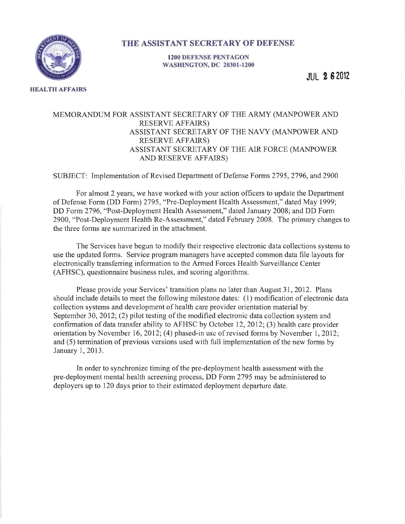

**HEALTH AFFAIRS** 

## **THE ASSISTANT SECRETARY OF DEFENSE**

**1200 DEFENSE PENTAGON WASHINGTON, DC 20301-1200** 

**JUL 2 82012** 

## MEMORANDUM FOR ASSISTANT SECRETARY OF THE ARMY (MANPOWER AND RESERVE AFFAIRS) ASSISTANT SECRETARY OF THE NAVY (MANPOWER AND RESERVE AFFAIRS) ASSISTANT SECRETARY OF THE AIR FORCE (MANPOWER AND RESERVE AFFAIRS)

SUBJECT: Implementation of Revised Department of Defense Forms 2795, 2796, and 2900

For almost 2 years, we have worked with your action officers to update the Department of Defense Form (DD Form) 2795, "Pre-Deployment Health Assessment," dated May 1999; DD Form 2796, "Post-Deployment Health Assessment," dated January 2008; and DD Form 2900, "Post-Deployment Health Re-Assessment," dated February 2008. The primary changes to the three forms are summarized in the attachment.

The Services have begun to modify their respective electronic data collections systems to use the updated forms. Service program managers have accepted common data file layouts for electronically transferring information to the Armed Forces Health Surveillance Center (AFHSC), questionnaire business rules, and scoring algorithms.

Please provide your Services' transition plans no later than August 31,2012. Plans should include details to meet the following milestone dates: (1) modification of electronic data collection systems and development of health care provider orientation material by September 30, 2012; (2) pilot testing of the modified electronic data collection system and confirmation of data transfer ability to AFHSC by October 12,2012; (3) health care provider orientation by November 16, 2012; (4) phased-in usc of revised forms by November 1, 2012; and (5) termination of previous versions used with full implementation of the new forms by January 1,2013.

In order to synchronize timing of the pre-deployment health assessment with the pre-deployment mental health screening process, DD Form 2795 may be administered to deployers up to 120 days prior to their estimated deployment departure date.